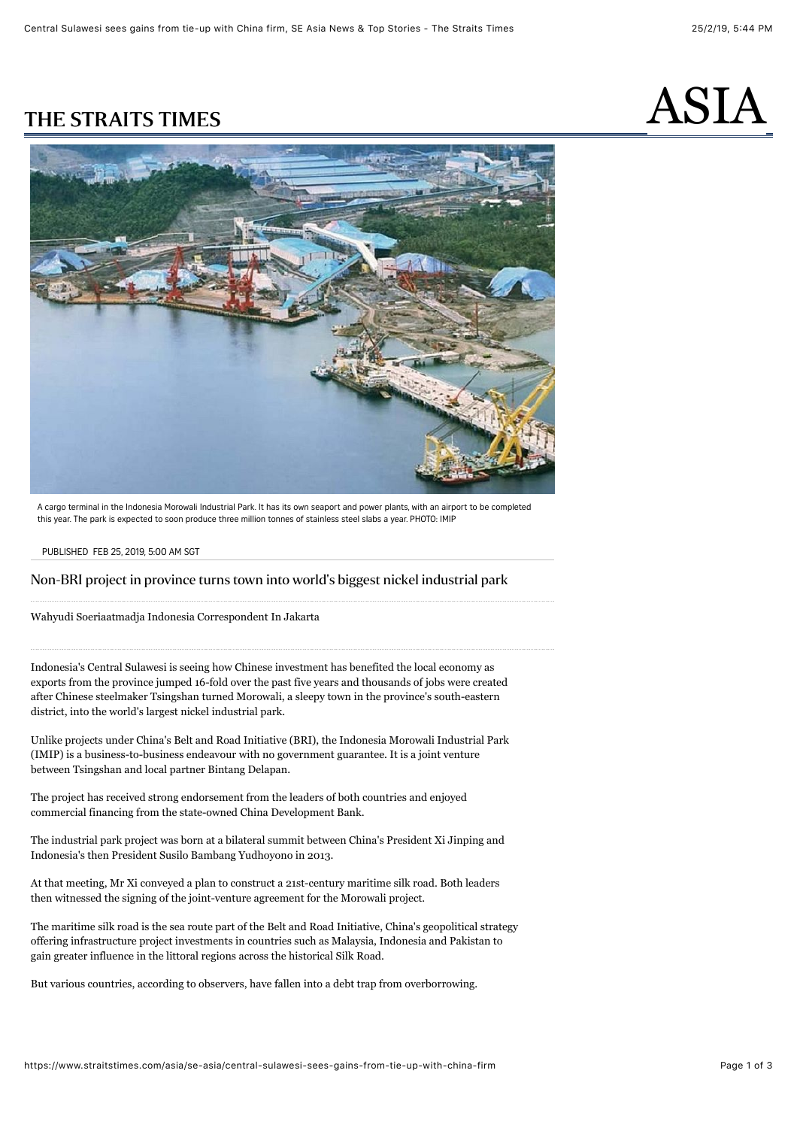

A cargo terminal in the Indonesia Morowali Industrial Park. It has its own seaport and power plants, with an airport to be completed this year. The park is expected to soon produce three million tonnes of stainless steel slabs a year. PHOTO: IMIP

#### PUBLISHED FEB 25, 2019, 5:00 AM SGT

### Non-BRI project in province turns town into world's biggest nickel industrial park

[Wahyudi Soeriaatmadja](https://www.straitstimes.com/authors/wahyudi-soeriaatmadja) Indonesia Correspondent In Jakarta

Indonesia's Central Sulawesi is seeing how Chinese investment has benefited the local economy as exports from the province jumped 16-fold over the past five years and thousands of jobs were created after Chinese steelmaker Tsingshan turned Morowali, a sleepy town in the province's south-eastern district, into the world's largest nickel industrial park.

Unlike projects under China's Belt and Road Initiative (BRI), the Indonesia Morowali Industrial Park (IMIP) is a business-to-business endeavour with no government guarantee. It is a joint venture between Tsingshan and local partner Bintang Delapan.

The project has received strong endorsement from the leaders of both countries and enjoyed commercial financing from the state-owned China Development Bank.

The industrial park project was born at a bilateral summit between China's President Xi Jinping and Indonesia's then President Susilo Bambang Yudhoyono in 2013.

At that meeting, Mr Xi conveyed a plan to construct a 21st-century maritime silk road. Both leaders then witnessed the signing of the joint-venture agreement for the Morowali project.

The maritime silk road is the sea route part of the Belt and Road Initiative, China's geopolitical strategy offering infrastructure project investments in countries such as Malaysia, Indonesia and Pakistan to gain greater influence in the littoral regions across the historical Silk Road.

But various countries, according to observers, have fallen into a debt trap from overborrowing.

# $\mathbf \Lambda$ THE STRAITS TIMES FOR ASILA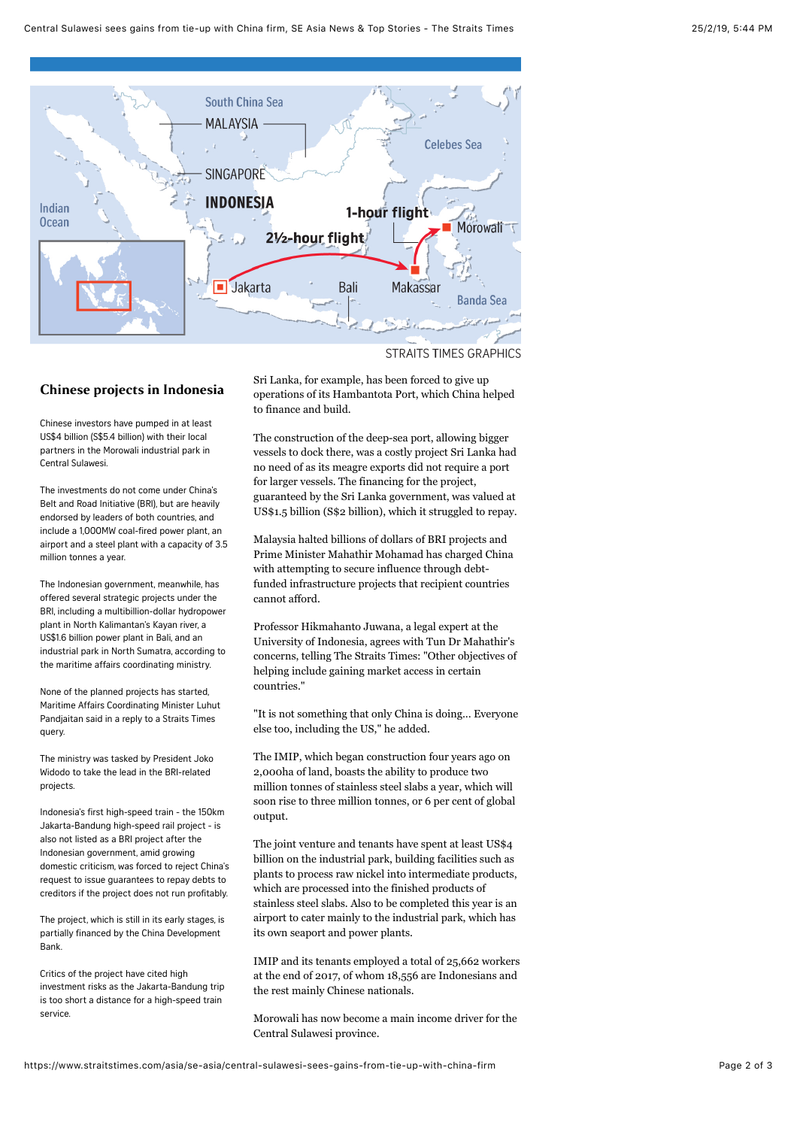

**STRAITS TIMES GRAPHICS** 

## Chinese projects in Indonesia

Chinese investors have pumped in at least US\$4 billion (S\$5.4 billion) with their local partners in the Morowali industrial park in Central Sulawesi.

The investments do not come under China's Belt and Road Initiative (BRI), but are heavily endorsed by leaders of both countries, and include a 1,000MW coal-fired power plant, an airport and a steel plant with a capacity of 3.5 million tonnes a year.

The Indonesian government, meanwhile, has offered several strategic projects under the BRI, including a multibillion-dollar hydropower plant in North Kalimantan's Kayan river, a US\$1.6 billion power plant in Bali, and an industrial park in North Sumatra, according to the maritime affairs coordinating ministry.

None of the planned projects has started, Maritime Affairs Coordinating Minister Luhut Pandjaitan said in a reply to a Straits Times query.

The ministry was tasked by President Joko Widodo to take the lead in the BRI-related projects.

Indonesia's first high-speed train - the 150km Jakarta-Bandung high-speed rail project - is also not listed as a BRI project after the Indonesian government, amid growing domestic criticism, was forced to reject China's request to issue guarantees to repay debts to creditors if the project does not run profitably.

The project, which is still in its early stages, is partially financed by the China Development Bank.

Critics of the project have cited high investment risks as the Jakarta-Bandung trip is too short a distance for a high-speed train service.

Sri Lanka, for example, has been forced to give up operations of its Hambantota Port, which China helped to finance and build.

The construction of the deep-sea port, allowing bigger vessels to dock there, was a costly project Sri Lanka had no need of as its meagre exports did not require a port for larger vessels. The financing for the project, guaranteed by the Sri Lanka government, was valued at US\$1.5 billion (S\$2 billion), which it struggled to repay.

Malaysia halted billions of dollars of BRI projects and Prime Minister Mahathir Mohamad has charged China with attempting to secure influence through debtfunded infrastructure projects that recipient countries cannot afford.

Professor Hikmahanto Juwana, a legal expert at the University of Indonesia, agrees with Tun Dr Mahathir's concerns, telling The Straits Times: "Other objectives of helping include gaining market access in certain countries."

"It is not something that only China is doing... Everyone else too, including the US," he added.

The IMIP, which began construction four years ago on 2,000ha of land, boasts the ability to produce two million tonnes of stainless steel slabs a year, which will soon rise to three million tonnes, or 6 per cent of global output.

The joint venture and tenants have spent at least US\$4 billion on the industrial park, building facilities such as plants to process raw nickel into intermediate products, which are processed into the finished products of stainless steel slabs. Also to be completed this year is an airport to cater mainly to the industrial park, which has its own seaport and power plants.

IMIP and its tenants employed a total of 25,662 workers at the end of 2017, of whom 18,556 are Indonesians and the rest mainly Chinese nationals.

Morowali has now become a main income driver for the Central Sulawesi province.